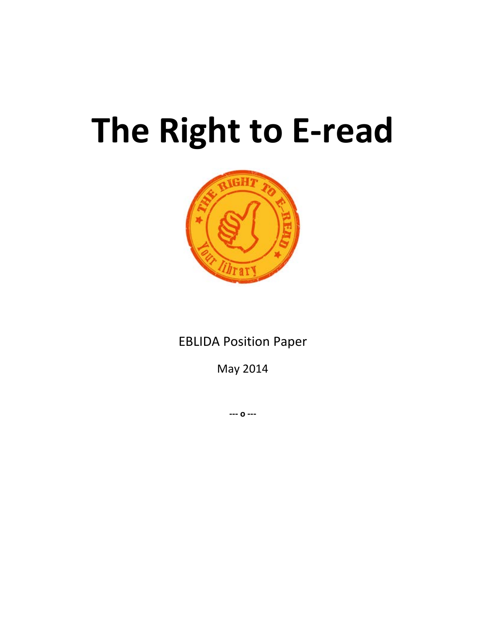# **The Right to E-read**



EBLIDA Position Paper

May 2014

**--- o ---**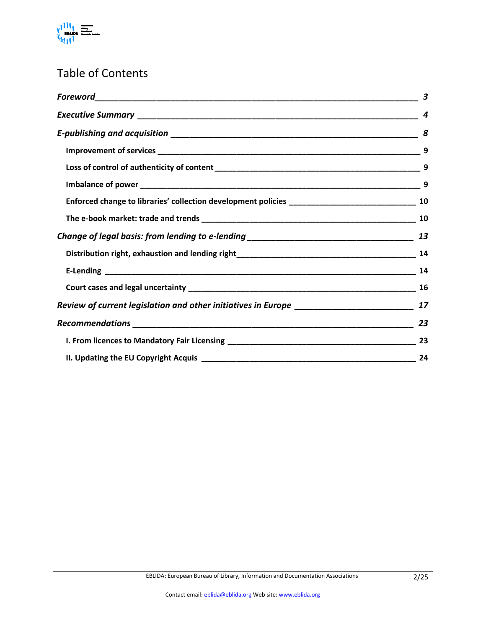

## Table of Contents

|                                                                                   | 3  |
|-----------------------------------------------------------------------------------|----|
|                                                                                   | 4  |
|                                                                                   |    |
|                                                                                   | 9  |
|                                                                                   |    |
|                                                                                   | 9  |
|                                                                                   | 10 |
|                                                                                   |    |
| Change of legal basis: from lending to e-lending ________________________________ | 13 |
|                                                                                   |    |
|                                                                                   |    |
|                                                                                   | 16 |
| Review of current legislation and other initiatives in Europe ___________________ | 17 |
|                                                                                   | 23 |
|                                                                                   |    |
|                                                                                   | 24 |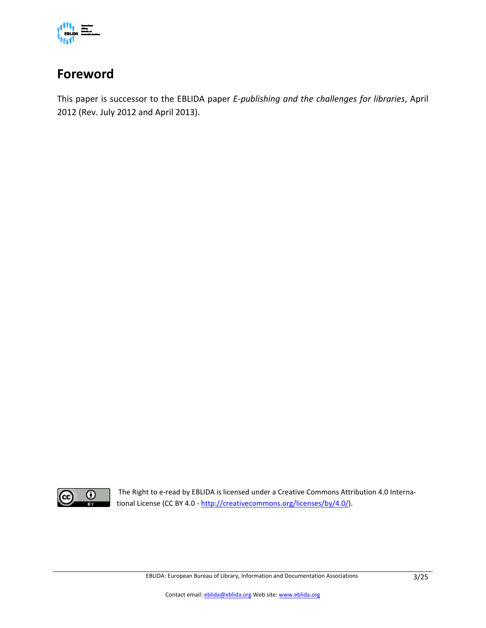

## <span id="page-2-0"></span>**Foreword**

This paper is successor to the EBLIDA paper *E-publishing and the challenges for libraries*, April 2012 (Rev. July 2012 and April 2013).



The Right to e-read by EBLIDA is licensed under a Creative Commons Attribution 4.0 International License (CC BY 4.0 - [http://creativecommons.org/licenses/by/4.0/\)](http://creativecommons.org/licenses/by/4.0/).

EBLIDA: European Bureau of Library, Information and Documentation Associations 3/25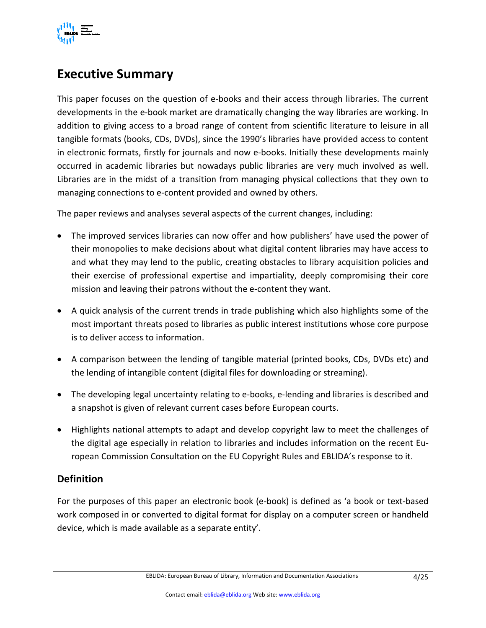

## <span id="page-3-0"></span>**Executive Summary**

This paper focuses on the question of e-books and their access through libraries. The current developments in the e-book market are dramatically changing the way libraries are working. In addition to giving access to a broad range of content from scientific literature to leisure in all tangible formats (books, CDs, DVDs), since the 1990's libraries have provided access to content in electronic formats, firstly for journals and now e-books. Initially these developments mainly occurred in academic libraries but nowadays public libraries are very much involved as well. Libraries are in the midst of a transition from managing physical collections that they own to managing connections to e-content provided and owned by others.

The paper reviews and analyses several aspects of the current changes, including:

- The improved services libraries can now offer and how publishers' have used the power of their monopolies to make decisions about what digital content libraries may have access to and what they may lend to the public, creating obstacles to library acquisition policies and their exercise of professional expertise and impartiality, deeply compromising their core mission and leaving their patrons without the e-content they want.
- A quick analysis of the current trends in trade publishing which also highlights some of the most important threats posed to libraries as public interest institutions whose core purpose is to deliver access to information.
- A comparison between the lending of tangible material (printed books, CDs, DVDs etc) and the lending of intangible content (digital files for downloading or streaming).
- The developing legal uncertainty relating to e-books, e-lending and libraries is described and a snapshot is given of relevant current cases before European courts.
- Highlights national attempts to adapt and develop copyright law to meet the challenges of the digital age especially in relation to libraries and includes information on the recent European Commission Consultation on the EU Copyright Rules and EBLIDA's response to it.

#### **Definition**

For the purposes of this paper an electronic book (e-book) is defined as 'a book or text-based work composed in or converted to digital format for display on a computer screen or handheld device, which is made available as a separate entity'.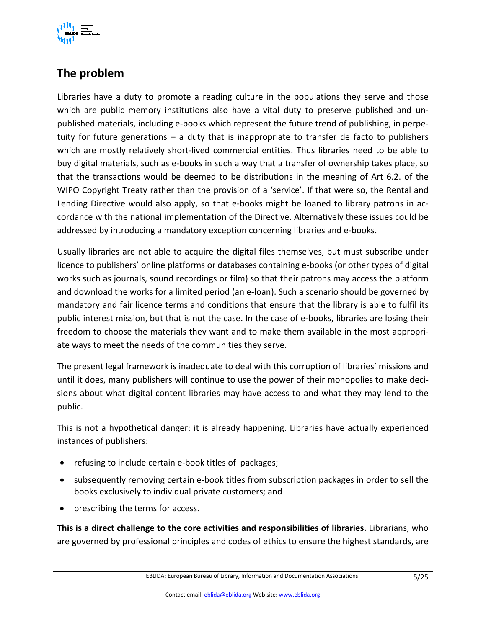

## **The problem**

Libraries have a duty to promote a reading culture in the populations they serve and those which are public memory institutions also have a vital duty to preserve published and unpublished materials, including e-books which represent the future trend of publishing, in perpetuity for future generations – a duty that is inappropriate to transfer de facto to publishers which are mostly relatively short-lived commercial entities. Thus libraries need to be able to buy digital materials, such as e-books in such a way that a transfer of ownership takes place, so that the transactions would be deemed to be distributions in the meaning of Art 6.2. of the WIPO Copyright Treaty rather than the provision of a 'service'. If that were so, the Rental and Lending Directive would also apply, so that e-books might be loaned to library patrons in accordance with the national implementation of the Directive. Alternatively these issues could be addressed by introducing a mandatory exception concerning libraries and e-books.

Usually libraries are not able to acquire the digital files themselves, but must subscribe under licence to publishers' online platforms or databases containing e-books (or other types of digital works such as journals, sound recordings or film) so that their patrons may access the platform and download the works for a limited period (an e-loan). Such a scenario should be governed by mandatory and fair licence terms and conditions that ensure that the library is able to fulfil its public interest mission, but that is not the case. In the case of e-books, libraries are losing their freedom to choose the materials they want and to make them available in the most appropriate ways to meet the needs of the communities they serve.

The present legal framework is inadequate to deal with this corruption of libraries' missions and until it does, many publishers will continue to use the power of their monopolies to make decisions about what digital content libraries may have access to and what they may lend to the public.

This is not a hypothetical danger: it is already happening. Libraries have actually experienced instances of publishers:

- refusing to include certain e-book titles of packages;
- subsequently removing certain e-book titles from subscription packages in order to sell the books exclusively to individual private customers; and
- prescribing the terms for access.

**This is a direct challenge to the core activities and responsibilities of libraries.** Librarians, who are governed by professional principles and codes of ethics to ensure the highest standards, are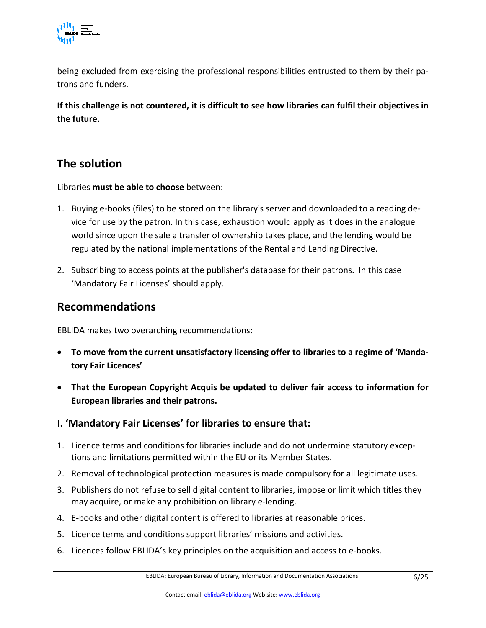

being excluded from exercising the professional responsibilities entrusted to them by their patrons and funders.

**If this challenge is not countered, it is difficult to see how libraries can fulfil their objectives in the future.**

### **The solution**

Libraries **must be able to choose** between:

- 1. Buying e-books (files) to be stored on the library's server and downloaded to a reading device for use by the patron. In this case, exhaustion would apply as it does in the analogue world since upon the sale a transfer of ownership takes place, and the lending would be regulated by the national implementations of the Rental and Lending Directive.
- 2. Subscribing to access points at the publisher's database for their patrons. In this case 'Mandatory Fair Licenses' should apply.

#### **Recommendations**

EBLIDA makes two overarching recommendations:

- **To move from the current unsatisfactory licensing offer to libraries to a regime of 'Mandatory Fair Licences'**
- **That the European Copyright Acquis be updated to deliver fair access to information for European libraries and their patrons.**
- **I. 'Mandatory Fair Licenses' for libraries to ensure that:**
- 1. Licence terms and conditions for libraries include and do not undermine statutory exceptions and limitations permitted within the EU or its Member States.
- 2. Removal of technological protection measures is made compulsory for all legitimate uses.
- 3. Publishers do not refuse to sell digital content to libraries, impose or limit which titles they may acquire, or make any prohibition on library e-lending.
- 4. E-books and other digital content is offered to libraries at reasonable prices.
- 5. Licence terms and conditions support libraries' missions and activities.
- 6. Licences follow EBLIDA's key principles on the acquisition and access to e-books.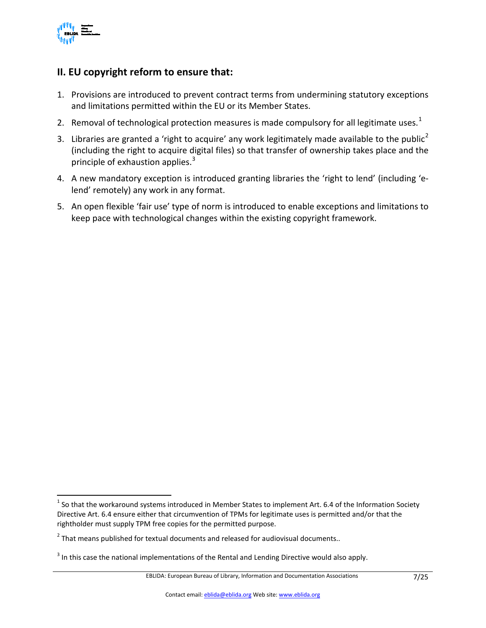

#### **II. EU copyright reform to ensure that:**

- 1. Provisions are introduced to prevent contract terms from undermining statutory exceptions and limitations permitted within the EU or its Member States.
- 2. Removal of technological protection measures is made compulsory for all legitimate uses.<sup>[1](#page-6-0)</sup>
- 3. Libraries are granted a 'right to acquire' any work legitimately made available to the public<sup>[2](#page-6-1)</sup> (including the right to acquire digital files) so that transfer of ownership takes place and the principle of exhaustion applies.<sup>[3](#page-6-2)</sup>
- 4. A new mandatory exception is introduced granting libraries the 'right to lend' (including 'elend' remotely) any work in any format.
- 5. An open flexible 'fair use' type of norm is introduced to enable exceptions and limitations to keep pace with technological changes within the existing copyright framework.

<span id="page-6-0"></span> $1$  So that the workaround systems introduced in Member States to implement Art. 6.4 of the Information Society Directive Art. 6.4 ensure either that circumvention of TPMs for legitimate uses is permitted and/or that the rightholder must supply TPM free copies for the permitted purpose.

<span id="page-6-1"></span> $2$  That means published for textual documents and released for audiovisual documents..

<span id="page-6-2"></span><sup>&</sup>lt;sup>3</sup> In this case the national implementations of the Rental and Lending Directive would also apply.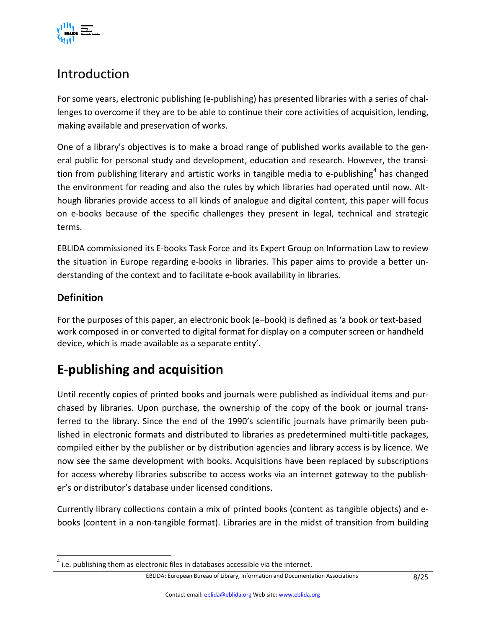

# Introduction

For some years, electronic publishing (e-publishing) has presented libraries with a series of challenges to overcome if they are to be able to continue their core activities of acquisition, lending, making available and preservation of works.

One of a library's objectives is to make a broad range of published works available to the general public for personal study and development, education and research. However, the transi-tion from publishing literary and artistic works in tangible media to e-publishing<sup>[4](#page-7-1)</sup> has changed the environment for reading and also the rules by which libraries had operated until now. Although libraries provide access to all kinds of analogue and digital content, this paper will focus on e-books because of the specific challenges they present in legal, technical and strategic terms.

EBLIDA commissioned its E-books Task Force and its Expert Group on Information Law to review the situation in Europe regarding e-books in libraries. This paper aims to provide a better understanding of the context and to facilitate e-book availability in libraries.

#### **Definition**

For the purposes of this paper, an electronic book (e–book) is defined as 'a book or text-based work composed in or converted to digital format for display on a computer screen or handheld device, which is made available as a separate entity'.

# <span id="page-7-0"></span>**E-publishing and acquisition**

Until recently copies of printed books and journals were published as individual items and purchased by libraries. Upon purchase, the ownership of the copy of the book or journal transferred to the library. Since the end of the 1990's scientific journals have primarily been published in electronic formats and distributed to libraries as predetermined multi-title packages, compiled either by the publisher or by distribution agencies and library access is by licence. We now see the same development with books. Acquisitions have been replaced by subscriptions for access whereby libraries subscribe to access works via an internet gateway to the publisher's or distributor's database under licensed conditions.

Currently library collections contain a mix of printed books (content as tangible objects) and ebooks (content in a non-tangible format). Libraries are in the midst of transition from building

<span id="page-7-1"></span> $<sup>4</sup>$  i.e. publishing them as electronic files in databases accessible via the internet.</sup>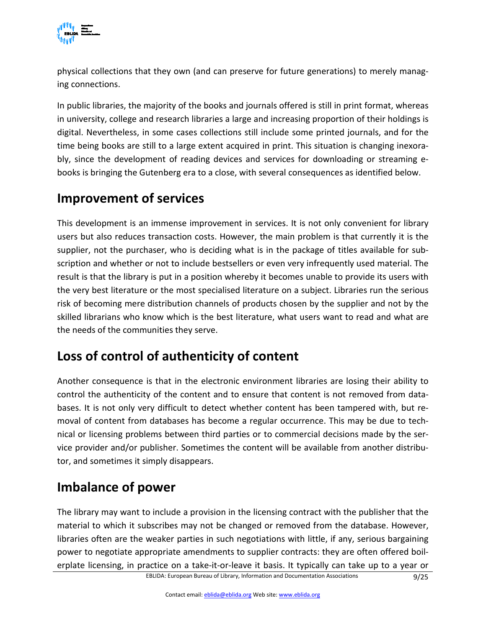

physical collections that they own (and can preserve for future generations) to merely managing connections.

In public libraries, the majority of the books and journals offered is still in print format, whereas in university, college and research libraries a large and increasing proportion of their holdings is digital. Nevertheless, in some cases collections still include some printed journals, and for the time being books are still to a large extent acquired in print. This situation is changing inexorably, since the development of reading devices and services for downloading or streaming ebooks is bringing the Gutenberg era to a close, with several consequences as identified below.

## <span id="page-8-0"></span>**Improvement of services**

This development is an immense improvement in services. It is not only convenient for library users but also reduces transaction costs. However, the main problem is that currently it is the supplier, not the purchaser, who is deciding what is in the package of titles available for subscription and whether or not to include bestsellers or even very infrequently used material. The result is that the library is put in a position whereby it becomes unable to provide its users with the very best literature or the most specialised literature on a subject. Libraries run the serious risk of becoming mere distribution channels of products chosen by the supplier and not by the skilled librarians who know which is the best literature, what users want to read and what are the needs of the communities they serve.

## <span id="page-8-1"></span>**Loss of control of authenticity of content**

Another consequence is that in the electronic environment libraries are losing their ability to control the authenticity of the content and to ensure that content is not removed from databases. It is not only very difficult to detect whether content has been tampered with, but removal of content from databases has become a regular occurrence. This may be due to technical or licensing problems between third parties or to commercial decisions made by the service provider and/or publisher. Sometimes the content will be available from another distributor, and sometimes it simply disappears.

## <span id="page-8-2"></span>**Imbalance of power**

The library may want to include a provision in the licensing contract with the publisher that the material to which it subscribes may not be changed or removed from the database. However, libraries often are the weaker parties in such negotiations with little, if any, serious bargaining power to negotiate appropriate amendments to supplier contracts: they are often offered boilerplate licensing, in practice on a take-it-or-leave it basis. It typically can take up to a year or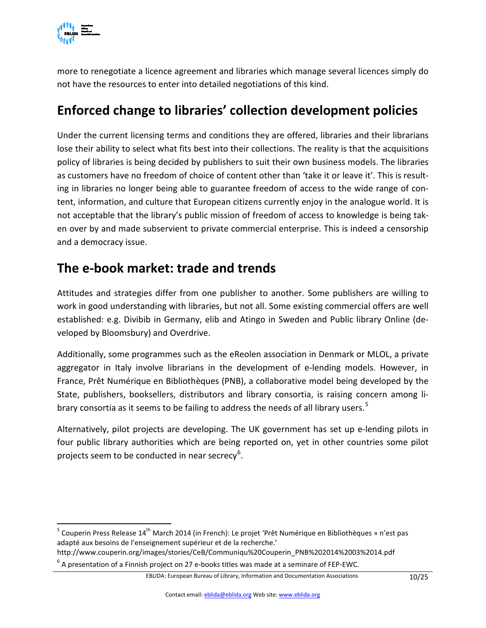

more to renegotiate a licence agreement and libraries which manage several licences simply do not have the resources to enter into detailed negotiations of this kind.

## <span id="page-9-0"></span>**Enforced change to libraries' collection development policies**

Under the current licensing terms and conditions they are offered, libraries and their librarians lose their ability to select what fits best into their collections. The reality is that the acquisitions policy of libraries is being decided by publishers to suit their own business models. The libraries as customers have no freedom of choice of content other than 'take it or leave it'. This is resulting in libraries no longer being able to guarantee freedom of access to the wide range of content, information, and culture that European citizens currently enjoy in the analogue world. It is not acceptable that the library's public mission of freedom of access to knowledge is being taken over by and made subservient to private commercial enterprise. This is indeed a censorship and a democracy issue.

## <span id="page-9-1"></span>**The e-book market: trade and trends**

Attitudes and strategies differ from one publisher to another. Some publishers are willing to work in good understanding with libraries, but not all. Some existing commercial offers are well established: e.g. Divibib in Germany, elib and Atingo in Sweden and Public library Online (developed by Bloomsbury) and Overdrive.

Additionally, some programmes such as the eReolen association in Denmark or MLOL, a private aggregator in Italy involve librarians in the development of e-lending models. However, in France, Prêt Numérique en Bibliothèques (PNB), a collaborative model being developed by the State, publishers, booksellers, distributors and library consortia, is raising concern among li-brary consortia as it seems to be failing to address the needs of all library users.<sup>[5](#page-9-2)</sup>

Alternatively, pilot projects are developing. The UK government has set up e-lending pilots in four public library authorities which are being reported on, yet in other countries some pilot projects seem to be conducted in near secrecy<sup>[6](#page-9-3)</sup>.

<span id="page-9-2"></span> $5$  Couperin Press Release 14<sup>th</sup> March 2014 (in French): Le projet 'Prêt Numérique en Bibliothèques » n'est pas adapté aux besoins de l'enseignement supérieur et de la recherche.'

<span id="page-9-3"></span>http://www.couperin.org/images/stories/CeB/Communiqu%20Couperin\_PNB%202014%2003%2014.pdf  $^6$  A presentation of a Finnish project on 27 e-books titles was made at a seminare of FEP-EWC.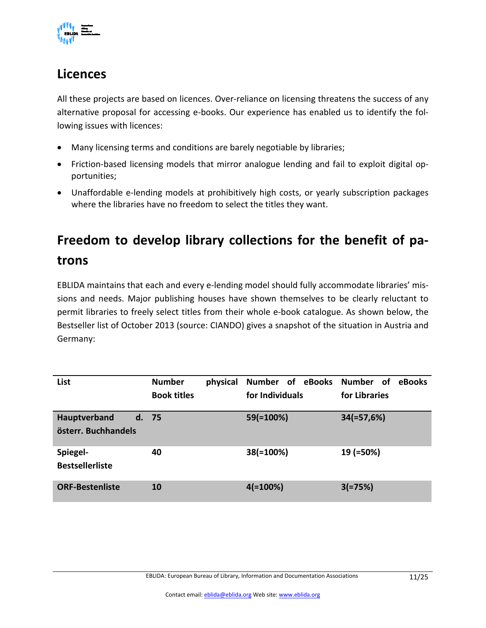

## **Licences**

All these projects are based on licences. Over-reliance on licensing threatens the success of any alternative proposal for accessing e-books. Our experience has enabled us to identify the following issues with licences:

- Many licensing terms and conditions are barely negotiable by libraries;
- Friction-based licensing models that mirror analogue lending and fail to exploit digital opportunities;
- Unaffordable e-lending models at prohibitively high costs, or yearly subscription packages where the libraries have no freedom to select the titles they want.

# **Freedom to develop library collections for the benefit of patrons**

EBLIDA maintains that each and every e-lending model should fully accommodate libraries' missions and needs. Major publishing houses have shown themselves to be clearly reluctant to permit libraries to freely select titles from their whole e-book catalogue. As shown below, the Bestseller list of October 2013 (source: CIANDO) gives a snapshot of the situation in Austria and Germany:

| List                                | <b>Number</b><br>physical<br><b>Book titles</b> | Number of eBooks<br>for Individuals | Number of<br>eBooks<br>for Libraries |
|-------------------------------------|-------------------------------------------------|-------------------------------------|--------------------------------------|
| Hauptverband<br>österr. Buchhandels | d. 75                                           | 59(=100%)                           | $34(=57,6%)$                         |
| Spiegel-<br><b>Bestsellerliste</b>  | 40                                              | 38(=100%)                           | 19 (=50%)                            |
| <b>ORF-Bestenliste</b>              | <b>10</b>                                       | $4(=100\%)$                         | $3(=75%)$                            |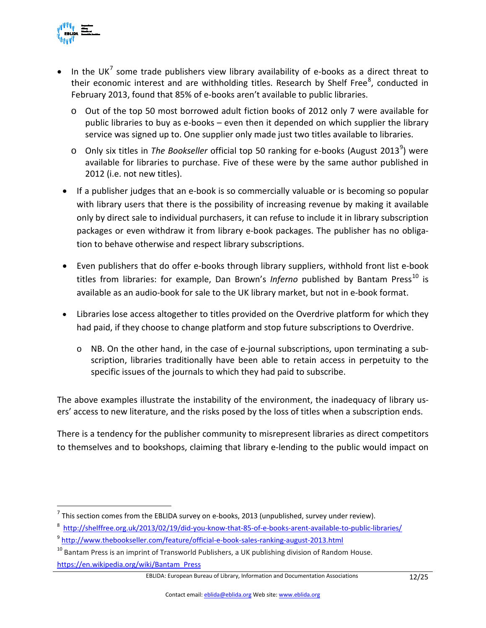

- In the UK<sup>[7](#page-11-0)</sup> some trade publishers view library availability of e-books as a direct threat to their economic interest and are withholding titles. Research by Shelf Free<sup>[8](#page-11-1)</sup>, conducted in February 2013, found that 85% of e-books aren't available to public libraries.
	- o Out of the top 50 most borrowed adult fiction books of 2012 only 7 were available for public libraries to buy as e-books – even then it depended on which supplier the library service was signed up to. One supplier only made just two titles available to libraries.
	- o Only six titles in *The Bookseller* official top 50 ranking for e-books (August 2013<sup>[9](#page-11-2)</sup>) were available for libraries to purchase. Five of these were by the same author published in 2012 (i.e. not new titles).
- If a publisher judges that an e-book is so commercially valuable or is becoming so popular with library users that there is the possibility of increasing revenue by making it available only by direct sale to individual purchasers, it can refuse to include it in library subscription packages or even withdraw it from library e-book packages. The publisher has no obligation to behave otherwise and respect library subscriptions.
- Even publishers that do offer e-books through library suppliers, withhold front list e-book titles from libraries: for example, Dan Brown's Inferno published by Bantam Press<sup>[10](#page-11-3)</sup> is available as an audio-book for sale to the UK library market, but not in e-book format.
- Libraries lose access altogether to titles provided on the Overdrive platform for which they had paid, if they choose to change platform and stop future subscriptions to Overdrive.
	- $\circ$  NB. On the other hand, in the case of e-journal subscriptions, upon terminating a subscription, libraries traditionally have been able to retain access in perpetuity to the specific issues of the journals to which they had paid to subscribe.

The above examples illustrate the instability of the environment, the inadequacy of library users' access to new literature, and the risks posed by the loss of titles when a subscription ends.

There is a tendency for the publisher community to misrepresent libraries as direct competitors to themselves and to bookshops, claiming that library e-lending to the public would impact on

<span id="page-11-0"></span> $<sup>7</sup>$  This section comes from the EBLIDA survey on e-books, 2013 (unpublished, survey under review).</sup>

<span id="page-11-1"></span><sup>8</sup> <http://shelffree.org.uk/2013/02/19/did-you-know-that-85-of-e-books-arent-available-to-public-libraries/>

<span id="page-11-2"></span><sup>&</sup>lt;sup>9</sup> <http://www.thebookseller.com/feature/official-e-book-sales-ranking-august-2013.html>

<span id="page-11-3"></span> $10$  Bantam Press is an imprint of Transworld Publishers, a UK publishing division of Random House. [https://en.wikipedia.org/wiki/Bantam\\_Press](https://en.wikipedia.org/wiki/Bantam_Press)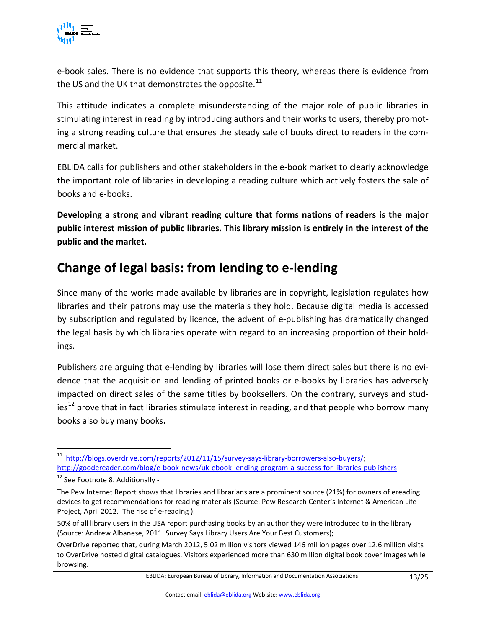

e-book sales. There is no evidence that supports this theory, whereas there is evidence from the US and the UK that demonstrates the opposite. $^{11}$  $^{11}$  $^{11}$ 

This attitude indicates a complete misunderstanding of the major role of public libraries in stimulating interest in reading by introducing authors and their works to users, thereby promoting a strong reading culture that ensures the steady sale of books direct to readers in the commercial market.

EBLIDA calls for publishers and other stakeholders in the e-book market to clearly acknowledge the important role of libraries in developing a reading culture which actively fosters the sale of books and e-books.

**Developing a strong and vibrant reading culture that forms nations of readers is the major public interest mission of public libraries. This library mission is entirely in the interest of the public and the market.** 

## <span id="page-12-0"></span>**Change of legal basis: from lending to e-lending**

Since many of the works made available by libraries are in copyright, legislation regulates how libraries and their patrons may use the materials they hold. Because digital media is accessed by subscription and regulated by licence, the advent of e-publishing has dramatically changed the legal basis by which libraries operate with regard to an increasing proportion of their holdings.

Publishers are arguing that e-lending by libraries will lose them direct sales but there is no evidence that the acquisition and lending of printed books or e-books by libraries has adversely impacted on direct sales of the same titles by booksellers. On the contrary, surveys and stud-ies<sup>[12](#page-12-2)</sup> prove that in fact libraries stimulate interest in reading, and that people who borrow many books also buy many books**.** 

<span id="page-12-1"></span>[http://blogs.overdrive.com/reports/2012/11/15/survey-says-library-borrowers-also-buyers/;](http://blogs.overdrive.com/reports/2012/11/15/survey-says-library-borrowers-also-buyers/) <http://goodereader.com/blog/e-book-news/uk-ebook-lending-program-a-success-for-libraries-publishers>

<span id="page-12-2"></span><sup>&</sup>lt;sup>12</sup> See Footnote 8. Additionally -

The Pew Internet Report shows that libraries and librarians are a prominent source (21%) for owners of ereading devices to get recommendations for reading materials (Source: Pew Research Center's Internet & American Life Project, April 2012. The rise of e-reading ).

<sup>50%</sup> of all library users in the USA report purchasing books by an author they were introduced to in the library (Source: Andrew Albanese, 2011. Survey Says Library Users Are Your Best Customers);

OverDrive reported that, during March 2012, 5.02 million visitors viewed 146 million pages over 12.6 million visits to OverDrive hosted digital catalogues. Visitors experienced more than 630 million digital book cover images while browsing.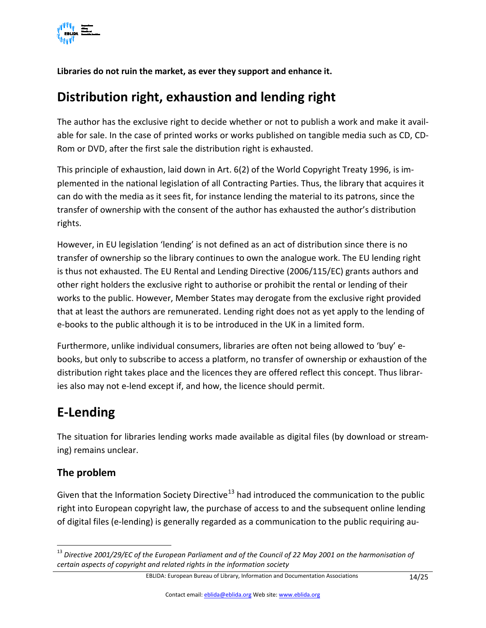

**Libraries do not ruin the market, as ever they support and enhance it.**

# <span id="page-13-0"></span>**Distribution right, exhaustion and lending right**

The author has the exclusive right to decide whether or not to publish a work and make it available for sale. In the case of printed works or works published on tangible media such as CD, CD-Rom or DVD, after the first sale the distribution right is exhausted.

This principle of exhaustion, laid down in Art. 6(2) of the World Copyright Treaty 1996, is implemented in the national legislation of all Contracting Parties. Thus, the library that acquires it can do with the media as it sees fit, for instance lending the material to its patrons, since the transfer of ownership with the consent of the author has exhausted the author's distribution rights.

However, in EU legislation 'lending' is not defined as an act of distribution since there is no transfer of ownership so the library continues to own the analogue work. The EU lending right is thus not exhausted. The EU Rental and Lending Directive (2006/115/EC) grants authors and other right holders the exclusive right to authorise or prohibit the rental or lending of their works to the public. However, Member States may derogate from the exclusive right provided that at least the authors are remunerated. Lending right does not as yet apply to the lending of e-books to the public although it is to be introduced in the UK in a limited form.

Furthermore, unlike individual consumers, libraries are often not being allowed to 'buy' ebooks, but only to subscribe to access a platform, no transfer of ownership or exhaustion of the distribution right takes place and the licences they are offered reflect this concept. Thus libraries also may not e-lend except if, and how, the licence should permit.

# <span id="page-13-1"></span>**E-Lending**

The situation for libraries lending works made available as digital files (by download or streaming) remains unclear.

#### **The problem**

Given that the Information Society Directive<sup>[13](#page-13-2)</sup> had introduced the communication to the public right into European copyright law, the purchase of access to and the subsequent online lending of digital files (e-lending) is generally regarded as a communication to the public requiring au-

<span id="page-13-2"></span><sup>&</sup>lt;sup>13</sup> Directive 2001/29/EC of the European Parliament and of the Council of 22 May 2001 on the harmonisation of *certain aspects of copyright and related rights in the information society*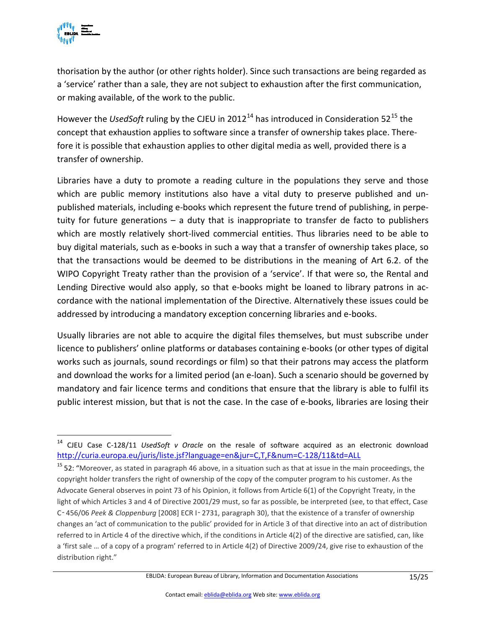

thorisation by the author (or other rights holder). Since such transactions are being regarded as a 'service' rather than a sale, they are not subject to exhaustion after the first communication, or making available, of the work to the public.

However the *UsedSoft* ruling by the CJEU in 2012<sup>[14](#page-14-0)</sup> has introduced in Consideration 52<sup>[15](#page-14-1)</sup> the concept that exhaustion applies to software since a transfer of ownership takes place. Therefore it is possible that exhaustion applies to other digital media as well, provided there is a transfer of ownership.

Libraries have a duty to promote a reading culture in the populations they serve and those which are public memory institutions also have a vital duty to preserve published and unpublished materials, including e-books which represent the future trend of publishing, in perpetuity for future generations – a duty that is inappropriate to transfer de facto to publishers which are mostly relatively short-lived commercial entities. Thus libraries need to be able to buy digital materials, such as e-books in such a way that a transfer of ownership takes place, so that the transactions would be deemed to be distributions in the meaning of Art 6.2. of the WIPO Copyright Treaty rather than the provision of a 'service'. If that were so, the Rental and Lending Directive would also apply, so that e-books might be loaned to library patrons in accordance with the national implementation of the Directive. Alternatively these issues could be addressed by introducing a mandatory exception concerning libraries and e-books.

Usually libraries are not able to acquire the digital files themselves, but must subscribe under licence to publishers' online platforms or databases containing e-books (or other types of digital works such as journals, sound recordings or film) so that their patrons may access the platform and download the works for a limited period (an e-loan). Such a scenario should be governed by mandatory and fair licence terms and conditions that ensure that the library is able to fulfil its public interest mission, but that is not the case. In the case of e-books, libraries are losing their

<span id="page-14-0"></span> <sup>14</sup> CJEU Case C-128/11 *UsedSoft v Oracle* on the resale of software acquired as an electronic download <http://curia.europa.eu/juris/liste.jsf?language=en&jur=C,T,F&num=C-128/11&td=ALL>

<span id="page-14-1"></span><sup>&</sup>lt;sup>15</sup> 52: "Moreover, as stated in paragraph 46 above, in a situation such as that at issue in the main proceedings, the copyright holder transfers the right of ownership of the copy of the computer program to his customer. As the Advocate General observes in point 73 of his Opinion, it follows from Article 6(1) of the Copyright Treaty, in the light of which Articles 3 and 4 of Directive 2001/29 must, so far as possible, be interpreted (see, to that effect, Case C‑456/06 *Peek & Cloppenburg* [2008] ECR I‑2731, paragraph 30), that the existence of a transfer of ownership changes an 'act of communication to the public' provided for in Article 3 of that directive into an act of distribution referred to in Article 4 of the directive which, if the conditions in Article 4(2) of the directive are satisfied, can, like a 'first sale … of a copy of a program' referred to in Article 4(2) of Directive 2009/24, give rise to exhaustion of the distribution right."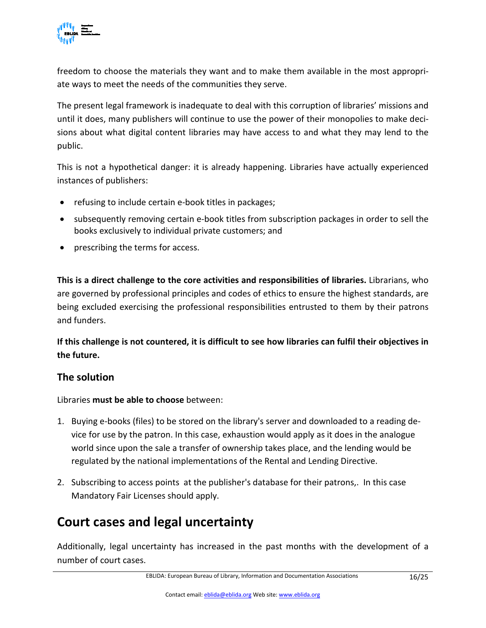

freedom to choose the materials they want and to make them available in the most appropriate ways to meet the needs of the communities they serve.

The present legal framework is inadequate to deal with this corruption of libraries' missions and until it does, many publishers will continue to use the power of their monopolies to make decisions about what digital content libraries may have access to and what they may lend to the public.

This is not a hypothetical danger: it is already happening. Libraries have actually experienced instances of publishers:

- refusing to include certain e-book titles in packages;
- subsequently removing certain e-book titles from subscription packages in order to sell the books exclusively to individual private customers; and
- prescribing the terms for access.

**This is a direct challenge to the core activities and responsibilities of libraries.** Librarians, who are governed by professional principles and codes of ethics to ensure the highest standards, are being excluded exercising the professional responsibilities entrusted to them by their patrons and funders.

**If this challenge is not countered, it is difficult to see how libraries can fulfil their objectives in the future.**

#### **The solution**

Libraries **must be able to choose** between:

- 1. Buying e-books (files) to be stored on the library's server and downloaded to a reading device for use by the patron. In this case, exhaustion would apply as it does in the analogue world since upon the sale a transfer of ownership takes place, and the lending would be regulated by the national implementations of the Rental and Lending Directive.
- 2. Subscribing to access points at the publisher's database for their patrons,. In this case Mandatory Fair Licenses should apply.

# <span id="page-15-0"></span>**Court cases and legal uncertainty**

Additionally, legal uncertainty has increased in the past months with the development of a number of court cases.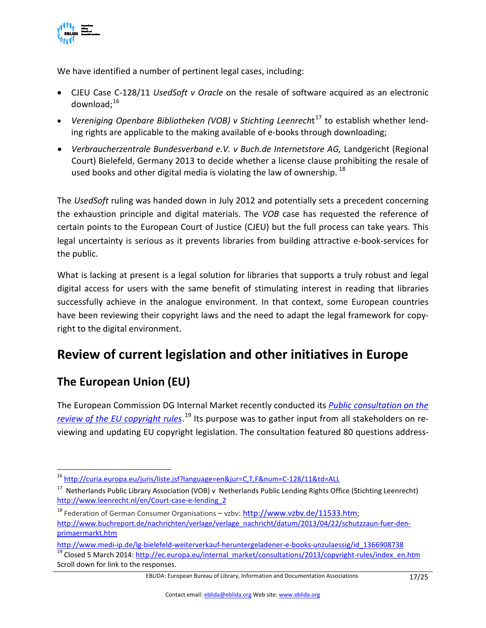

We have identified a number of pertinent legal cases, including:

- CJEU Case C-128/11 *UsedSoft v Oracle* on the resale of software acquired as an electronic download: $16$
- *Vereniging Openbare Bibliotheken (VOB) v Stichting Leenrech*t [17](#page-16-2) to establish whether lending rights are applicable to the making available of e-books through downloading;
- *Verbraucherzentrale Bundesverband e.V. v Buch.de Internetstore AG, Landgericht (Regional* Court) Bielefeld, Germany 2013 to decide whether a license clause prohibiting the resale of used books and other digital media is violating the law of ownership.  $^{18}$  $^{18}$  $^{18}$

The *UsedSoft* ruling was handed down in July 2012 and potentially sets a precedent concerning the exhaustion principle and digital materials. The *VOB* case has requested the reference of certain points to the European Court of Justice (CJEU) but the full process can take years. This legal uncertainty is serious as it prevents libraries from building attractive e-book-services for the public.

What is lacking at present is a legal solution for libraries that supports a truly robust and legal digital access for users with the same benefit of stimulating interest in reading that libraries successfully achieve in the analogue environment. In that context, some European countries have been reviewing their copyright laws and the need to adapt the legal framework for copyright to the digital environment.

# <span id="page-16-0"></span>**Review of current legislation and other initiatives in Europe**

## **The European Union (EU)**

The European Commission DG Internal Market recently conducted its *[Public consultation on the](http://ec.europa.eu/internal_market/consultations/2013/copyright-rules/index_en.htm)  [review of the EU copyright rules](http://ec.europa.eu/internal_market/consultations/2013/copyright-rules/index_en.htm)*. [19](#page-16-4) Its purpose was to gather input from all stakeholders on reviewing and updating EU copyright legislation. The consultation featured 80 questions address-

<span id="page-16-1"></span> <sup>16</sup> <http://curia.europa.eu/juris/liste.jsf?language=en&jur=C,T,F&num=C-128/11&td=ALL>

<span id="page-16-2"></span><sup>&</sup>lt;sup>17</sup> Netherlands Public Library Association (VOB) v Netherlands Public Lending Rights Office (Stichting Leenrecht) [http://www.leenrecht.nl/en/Court-case-e-lending\\_2](http://www.leenrecht.nl/en/Court-case-e-lending_2)

<span id="page-16-3"></span><sup>&</sup>lt;sup>18</sup> Federation of German Consumer Organisations - vzbv: [http://www.vzbv.de/11533.htm;](http://www.vzbv.de/11533.htm) [http://www.buchreport.de/nachrichten/verlage/verlage\\_nachricht/datum/2013/04/22/schutzzaun-fuer-den](http://www.buchreport.de/nachrichten/verlage/verlage_nachricht/datum/2013/04/22/schutzzaun-fuer-den-primaermarkt.htm)[primaermarkt.htm](http://www.buchreport.de/nachrichten/verlage/verlage_nachricht/datum/2013/04/22/schutzzaun-fuer-den-primaermarkt.htm)

<span id="page-16-4"></span>[http://www.medi-ip.de/lg-bielefeld-weiterverkauf-heruntergeladener-e-books-unzulaessig/id\\_1366908738](http://www.medi-ip.de/lg-bielefeld-weiterverkauf-heruntergeladener-e-books-unzulaessig/id_1366908738)<br><sup>19</sup> Closed 5 March 2014: [http://ec.europa.eu/internal\\_market/consultations/2013/copyright-rules/index\\_en.htm](http://ec.europa.eu/internal_market/consultations/2013/copyright-rules/index_en.htm) Scroll down for link to the responses.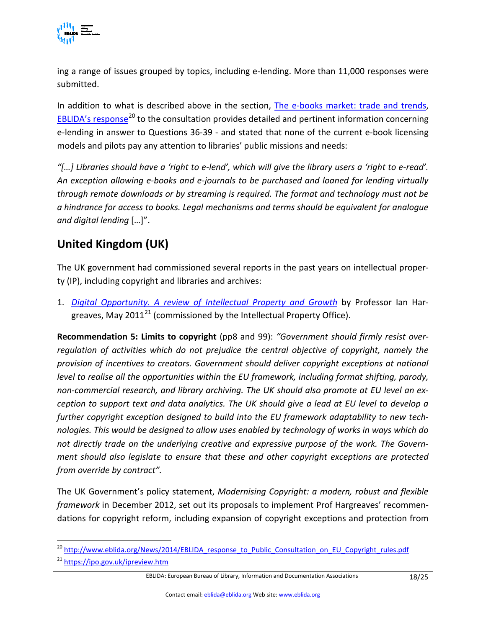

ing a range of issues grouped by topics, including e-lending. More than 11,000 responses were submitted.

In addition to what is described above in the section, [The e-books market: trade and trends,](#page-9-1) EBLIDA's [response](http://www.eblida.org/News/2014/EBLIDA_response_to_Public_Consultation_on_EU_Copyright_rules.pdf)<sup>[20](#page-17-0)</sup> to the consultation provides detailed and pertinent information concerning e-lending in answer to Questions 36-39 - and stated that none of the current e-book licensing models and pilots pay any attention to libraries' public missions and needs:

*"[…] Libraries should have a 'right to e-lend', which will give the library users a 'right to e-read'. An exception allowing e-books and e-journals to be purchased and loaned for lending virtually through remote downloads or by streaming is required. The format and technology must not be a hindrance for access to books. Legal mechanisms and terms should be equivalent for analogue and digital lending* […]".

## **United Kingdom (UK)**

The UK government had commissioned several reports in the past years on intellectual property (IP), including copyright and libraries and archives:

1. *[Digital Opportunity. A review of Intellectual Property and Growth](http://www.ipo.gov.uk/ipreview-finalreport.pdf)* by Professor Ian Hargreaves, May  $2011^{21}$  $2011^{21}$  $2011^{21}$  (commissioned by the Intellectual Property Office).

**Recommendation 5: Limits to copyright** (pp8 and 99): *"Government should firmly resist overregulation of activities which do not prejudice the central objective of copyright, namely the provision of incentives to creators. Government should deliver copyright exceptions at national level to realise all the opportunities within the EU framework, including format shifting, parody, non-commercial research, and library archiving. The UK should also promote at EU level an exception to support text and data analytics. The UK should give a lead at EU level to develop a further copyright exception designed to build into the EU framework adaptability to new technologies. This would be designed to allow uses enabled by technology of works in ways which do not directly trade on the underlying creative and expressive purpose of the work. The Government should also legislate to ensure that these and other copyright exceptions are protected from override by contract".*

The UK Government's policy statement, *Modernising Copyright: a modern, robust and flexible framework* in December 2012, set out its proposals to implement Prof Hargreaves' recommendations for copyright reform, including expansion of copyright exceptions and protection from

<span id="page-17-1"></span><sup>21</sup> <https://ipo.gov.uk/ipreview.htm>

<span id="page-17-0"></span><sup>&</sup>lt;sup>20</sup> [http://www.eblida.org/News/2014/EBLIDA\\_response\\_to\\_Public\\_Consultation\\_on\\_EU\\_Copyright\\_rules.pdf](http://www.eblida.org/News/2014/EBLIDA_response_to_Public_Consultation_on_EU_Copyright_rules.pdf)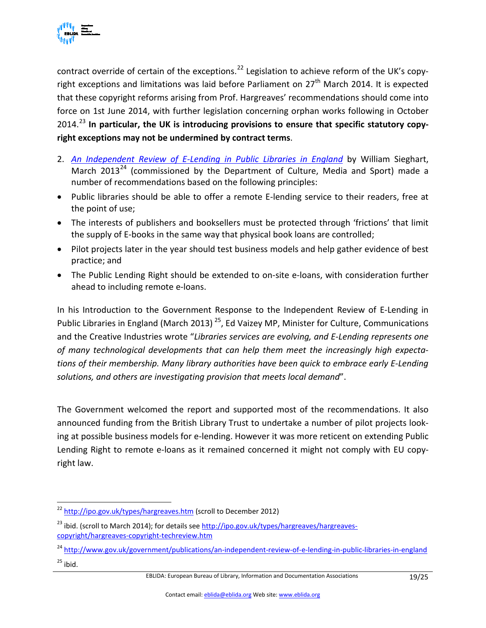

contract override of certain of the exceptions.<sup>[22](#page-18-0)</sup> Legislation to achieve reform of the UK's copyright exceptions and limitations was laid before Parliament on 27<sup>th</sup> March 2014. It is expected that these copyright reforms arising from Prof. Hargreaves' recommendations should come into force on 1st June 2014, with further legislation concerning orphan works following in October 2014.[23](#page-18-1) **In particular, the UK is introducing provisions to ensure that specific statutory copyright exceptions may not be undermined by contract terms**.

- 2. *[An Independent Review of E-Lending in Public Libraries in England](https://www.gov.uk/government/publications/an-independent-review-of-e-lending-in-public-libraries-in-england)* by William Sieghart, March 2013<sup>[24](#page-18-2)</sup> (commissioned by the Department of Culture, Media and Sport) made a number of recommendations based on the following principles:
- Public libraries should be able to offer a remote E-lending service to their readers, free at the point of use;
- The interests of publishers and booksellers must be protected through 'frictions' that limit the supply of E-books in the same way that physical book loans are controlled;
- Pilot projects later in the year should test business models and help gather evidence of best practice; and
- The Public Lending Right should be extended to on-site e-loans, with consideration further ahead to including remote e-loans.

In his Introduction to the Government Response to the Independent Review of E-Lending in Public Libraries in England (March 2013)<sup>25</sup>, Ed Vaizey MP, Minister for Culture, Communications and the Creative Industries wrote "*Libraries services are evolving, and E-Lending represents one of many technological developments that can help them meet the increasingly high expectations of their membership. Many library authorities have been quick to embrace early E-Lending solutions, and others are investigating provision that meets local demand*".

The Government welcomed the report and supported most of the recommendations. It also announced funding from the British Library Trust to undertake a number of pilot projects looking at possible business models for e-lending. However it was more reticent on extending Public Lending Right to remote e-loans as it remained concerned it might not comply with EU copyright law.

<span id="page-18-0"></span><sup>&</sup>lt;sup>22</sup> <http://ipo.gov.uk/types/hargreaves.htm> (scroll to December 2012)

<span id="page-18-1"></span><sup>&</sup>lt;sup>23</sup> ibid. (scroll to March 2014); for details se[e http://ipo.gov.uk/types/hargreaves/hargreaves](http://ipo.gov.uk/types/hargreaves/hargreaves-copyright/hargreaves-copyright-techreview.htm)[copyright/hargreaves-copyright-techreview.htm](http://ipo.gov.uk/types/hargreaves/hargreaves-copyright/hargreaves-copyright-techreview.htm)

<span id="page-18-3"></span><span id="page-18-2"></span><sup>&</sup>lt;sup>24</sup> <http://www.gov.uk/government/publications/an-independent-review-of-e-lending-in-public-libraries-in-england>  $25$  ibid.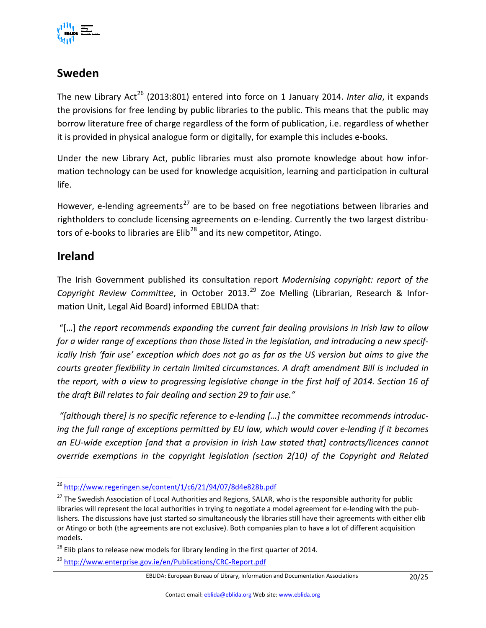

#### **Sweden**

The new Library Act<sup>[26](#page-19-0)</sup> (2013:801) entered into force on 1 January 2014. *Inter alia*, it expands the provisions for free lending by public libraries to the public. This means that the public may borrow literature free of charge regardless of the form of publication, i.e. regardless of whether it is provided in physical analogue form or digitally, for example this includes e-books.

Under the new Library Act, public libraries must also promote knowledge about how information technology can be used for knowledge acquisition, learning and participation in cultural life.

However, e-lending agreements<sup>[27](#page-19-1)</sup> are to be based on free negotiations between libraries and rightholders to conclude licensing agreements on e-lending. Currently the two largest distributors of e-books to libraries are  $Elib^{28}$  $Elib^{28}$  $Elib^{28}$  and its new competitor, Atingo.

#### **Ireland**

The Irish Government published its consultation report *Modernising copyright: report of the Copyright Review Committee*, in October 2013.[29](#page-19-3) Zoe Melling (Librarian, Research & Information Unit, Legal Aid Board) informed EBLIDA that:

"[…] *the report recommends expanding the current fair dealing provisions in Irish law to allow for a wider range of exceptions than those listed in the legislation, and introducing a new specifically Irish 'fair use' exception which does not go as far as the US version but aims to give the courts greater flexibility in certain limited circumstances. A draft amendment Bill is included in*  the report, with a view to progressing legislative change in the first half of 2014. Section 16 of *the draft Bill relates to fair dealing and section 29 to fair use."*

*"[although there] is no specific reference to e-lending […] the committee recommends introducing the full range of exceptions permitted by EU law, which would cover e-lending if it becomes an EU-wide exception [and that a provision in Irish Law stated that] contracts/licences cannot override exemptions in the copyright legislation (section 2(10) of the Copyright and Related* 

<span id="page-19-0"></span> <sup>26</sup> <http://www.regeringen.se/content/1/c6/21/94/07/8d4e828b.pdf>

<span id="page-19-1"></span><sup>&</sup>lt;sup>27</sup> The Swedish Association of Local Authorities and Regions, SALAR, who is the responsible authority for public libraries will represent the local authorities in trying to negotiate a model agreement for e-lending with the publishers. The discussions have just started so simultaneously the libraries still have their agreements with either elib or Atingo or both (the agreements are not exclusive). Both companies plan to have a lot of different acquisition models.

<span id="page-19-2"></span> $28$  Elib plans to release new models for library lending in the first quarter of 2014.

<span id="page-19-3"></span><sup>29</sup> <http://www.enterprise.gov.ie/en/Publications/CRC-Report.pdf>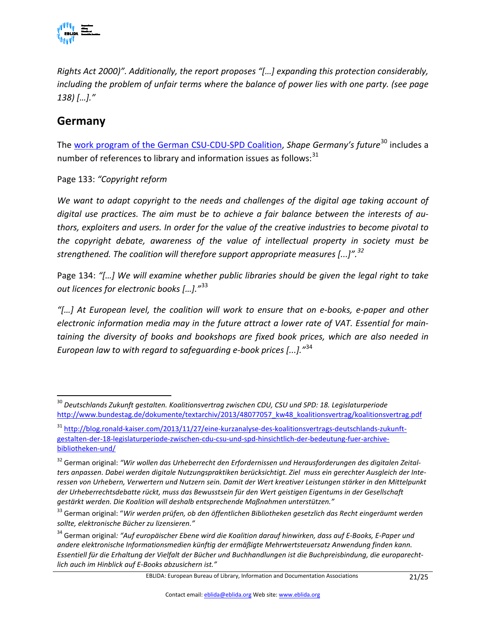

*Rights Act 2000)". Additionally, the report proposes "[…] expanding this protection considerably, including the problem of unfair terms where the balance of power lies with one party. (see page 138) […]."*

#### **Germany**

The [work program of the German CSU-CDU-SPD Coalition,](http://www.bundestag.de/dokumente/textarchiv/2013/48077057_kw48_koalitionsvertrag/koalitionsvertrag.pdf) *Shape Germany's future*<sup>[30](#page-20-0)</sup> includes a number of references to library and information issues as follows: $31$ 

Page 133: *"Copyright reform*

*We want to adapt copyright to the needs and challenges of the digital age taking account of digital use practices. The aim must be to achieve a fair balance between the interests of authors, exploiters and users. In order for the value of the creative industries to become pivotal to the copyright debate, awareness of the value of intellectual property in society must be strengthened. The coalition will therefore support appropriate measures [...]".[32](#page-20-2)*

Page 134: *"[…] We will examine whether public libraries should be given the legal right to take out licences for electronic books […]."*[33](#page-20-3)

*"[…] At European level, the coalition will work to ensure that on e-books, e-paper and other electronic information media may in the future attract a lower rate of VAT. Essential for maintaining the diversity of books and bookshops are fixed book prices, which are also needed in European law to with regard to safeguarding e-book prices [...]."*[34](#page-20-4)

<span id="page-20-0"></span> <sup>30</sup> *Deutschlands Zukunft gestalten. Koalitionsvertrag zwischen CDU, CSU und SPD: 18. Legislaturperiode* [http://www.bundestag.de/dokumente/textarchiv/2013/48077057\\_kw48\\_koalitionsvertrag/koalitionsvertrag.pdf](http://www.bundestag.de/dokumente/textarchiv/2013/48077057_kw48_koalitionsvertrag/koalitionsvertrag.pdf)

<span id="page-20-1"></span><sup>31</sup> [http://blog.ronald-kaiser.com/2013/11/27/eine-kurzanalyse-des-koalitionsvertrags-deutschlands-zukunft](http://blog.ronald-kaiser.com/2013/11/27/eine-kurzanalyse-des-koalitionsvertrags-deutschlands-zukunft-gestalten-der-18-legislaturperiode-zwischen-cdu-csu-und-spd-hinsichtlich-der-bedeutung-fuer-archive-bibliotheken-und/)[gestalten-der-18-legislaturperiode-zwischen-cdu-csu-und-spd-hinsichtlich-der-bedeutung-fuer-archive](http://blog.ronald-kaiser.com/2013/11/27/eine-kurzanalyse-des-koalitionsvertrags-deutschlands-zukunft-gestalten-der-18-legislaturperiode-zwischen-cdu-csu-und-spd-hinsichtlich-der-bedeutung-fuer-archive-bibliotheken-und/)[bibliotheken-und/](http://blog.ronald-kaiser.com/2013/11/27/eine-kurzanalyse-des-koalitionsvertrags-deutschlands-zukunft-gestalten-der-18-legislaturperiode-zwischen-cdu-csu-und-spd-hinsichtlich-der-bedeutung-fuer-archive-bibliotheken-und/)

<span id="page-20-2"></span><sup>&</sup>lt;sup>32</sup> German original: "Wir wollen das Urheberrecht den Erfordernissen und Herausforderungen des digitalen Zeital*ters anpassen. Dabei werden digitale Nutzungspraktiken berücksichtigt. Ziel muss ein gerechter Ausgleich der Interessen von Urhebern, Verwertern und Nutzern sein. Damit der Wert kreativer Leistungen stärker in den Mittelpunkt der Urheberrechtsdebatte rückt, muss das Bewusstsein für den Wert geistigen Eigentums in der Gesellschaft gestärkt werden. Die Koalition will deshalb entsprechende Maßnahmen unterstützen."*

<span id="page-20-3"></span><sup>33</sup> German original: "*Wir werden prüfen, ob den öffentlichen Bibliotheken gesetzlich das Recht eingeräumt werden sollte, elektronische Bücher zu lizensieren."*

<span id="page-20-4"></span><sup>34</sup> German original*: "Auf europäischer Ebene wird die Koalition darauf hinwirken, dass auf E-Books, E-Paper und andere elektronische Informationsmedien künftig der ermäßigte Mehrwertsteuersatz Anwendung finden kann. Essentiell für die Erhaltung der Vielfalt der Bücher und Buchhandlungen ist die Buchpreisbindung, die europarechtlich auch im Hinblick auf E-Books abzusichern ist."*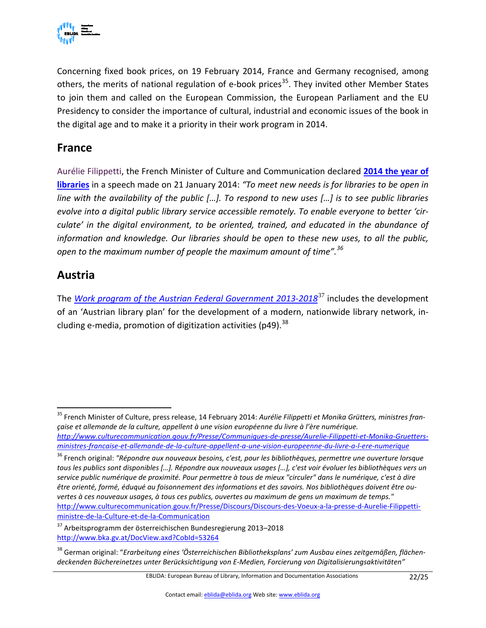

Concerning fixed book prices, on 19 February 2014, France and Germany recognised, among others, the merits of national regulation of e-book prices<sup>35</sup>. They invited other Member States to join them and called on the European Commission, the European Parliament and the EU Presidency to consider the importance of cultural, industrial and economic issues of the book in the digital age and to make it a priority in their work program in 2014.

#### **France**

Aurélie Filippetti, the French Minister of Culture and Communication declared **[2014 the year of](http://www.culturecommunication.gouv.fr/Presse/Discours/Discours-des-Voeux-a-la-presse-d-Aurelie-Filippetti-ministre-de-la-Culture-et-de-la-Communication)  [libraries](http://www.culturecommunication.gouv.fr/Presse/Discours/Discours-des-Voeux-a-la-presse-d-Aurelie-Filippetti-ministre-de-la-Culture-et-de-la-Communication)** in a speech made on 21 January 2014: *"To meet new needs is for libraries to be open in line with the availability of the public […]. To respond to new uses […] is to see public libraries evolve into a digital public library service accessible remotely. To enable everyone to better 'circulate' in the digital environment, to be oriented, trained, and educated in the abundance of information and knowledge. Our libraries should be open to these new uses, to all the public, open to the maximum number of people the maximum amount of time".[36](#page-21-1)*

#### **Austria**

The *[Work program of the Austrian Federal Government 2013-2018](http://www.bka.gv.at/DocView.axd?CobId=53264)*[37](#page-21-2) includes the development of an 'Austrian library plan' for the development of a modern, nationwide library network, including e-media, promotion of digitization activities (p49).  $^{38}$  $^{38}$  $^{38}$ 

<span id="page-21-0"></span> <sup>35</sup> French Minister of Culture, press release, 14 February 2014: *Aurélie Filippetti et Monika Grütters, ministres française et allemande de la culture, appellent à une vision européenne du livre à l'ère numérique. [http://www.culturecommunication.gouv.fr/Presse/Communiques-de-presse/Aurelie-Filippetti-et-Monika-Gruetters](http://www.culturecommunication.gouv.fr/Presse/Communiques-de-presse/Aurelie-Filippetti-et-Monika-Gruetters-ministres-francaise-et-allemande-de-la-culture-appellent-a-une-vision-europeenne-du-livre-a-l-ere-numerique)[ministres-francaise-et-allemande-de-la-culture-appellent-a-une-vision-europeenne-du-livre-a-l-ere-numerique](http://www.culturecommunication.gouv.fr/Presse/Communiques-de-presse/Aurelie-Filippetti-et-Monika-Gruetters-ministres-francaise-et-allemande-de-la-culture-appellent-a-une-vision-europeenne-du-livre-a-l-ere-numerique)*

<span id="page-21-1"></span><sup>36</sup> French original: *"Répondre aux nouveaux besoins, c'est, pour les bibliothèques, permettre une ouverture lorsque tous les publics sont disponibles […]. Répondre aux nouveaux usages […], c'est voir évoluer les bibliothèques vers un service public numérique de proximité. Pour permettre à tous de mieux "circuler" dans le numérique, c'est à dire être orienté, formé, éduqué au foisonnement des informations et des savoirs. Nos bibliothèques doivent être ouvertes à ces nouveaux usages, à tous ces publics, ouvertes au maximum de gens un maximum de temps."*  [http://www.culturecommunication.gouv.fr/Presse/Discours/Discours-des-Voeux-a-la-presse-d-Aurelie-Filippetti](http://www.culturecommunication.gouv.fr/Presse/Discours/Discours-des-Voeux-a-la-presse-d-Aurelie-Filippetti-ministre-de-la-Culture-et-de-la-Communication)[ministre-de-la-Culture-et-de-la-Communication](http://www.culturecommunication.gouv.fr/Presse/Discours/Discours-des-Voeux-a-la-presse-d-Aurelie-Filippetti-ministre-de-la-Culture-et-de-la-Communication)

<span id="page-21-2"></span><sup>37</sup> Arbeitsprogramm der österreichischen Bundesregierung 2013–2018 <http://www.bka.gv.at/DocView.axd?CobId=53264>

<span id="page-21-3"></span><sup>38</sup> German original: "*Erarbeitung eines 'Österreichischen Bibliotheksplans' zum Ausbau eines zeitgemäßen, flächendeckenden Büchereinetzes unter Berücksichtigung von E-Medien, Forcierung von Digitalisierungsaktivitäten"*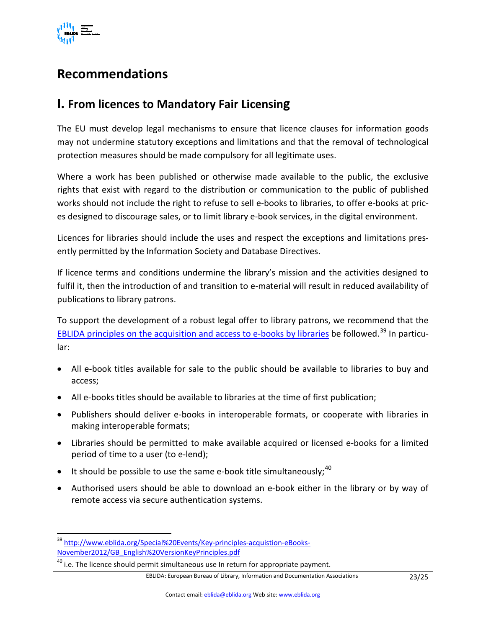

## <span id="page-22-0"></span>**Recommendations**

### <span id="page-22-1"></span>**I. From licences to Mandatory Fair Licensing**

The EU must develop legal mechanisms to ensure that licence clauses for information goods may not undermine statutory exceptions and limitations and that the removal of technological protection measures should be made compulsory for all legitimate uses.

Where a work has been published or otherwise made available to the public, the exclusive rights that exist with regard to the distribution or communication to the public of published works should not include the right to refuse to sell e-books to libraries, to offer e-books at prices designed to discourage sales, or to limit library e-book services, in the digital environment.

Licences for libraries should include the uses and respect the exceptions and limitations presently permitted by the Information Society and Database Directives.

If licence terms and conditions undermine the library's mission and the activities designed to fulfil it, then the introduction of and transition to e-material will result in reduced availability of publications to library patrons.

To support the development of a robust legal offer to library patrons, we recommend that the [EBLIDA principles on the acquisition and access to e-books by libraries](http://www.eblida.org/Special%20Events/Key-principles-acquistion-eBooks-November2012/GB_English%20Version%20Key%20Principles.pdf) be followed.<sup>[39](#page-22-2)</sup> In particular:

- All e-book titles available for sale to the public should be available to libraries to buy and access;
- All e-books titles should be available to libraries at the time of first publication;
- Publishers should deliver e-books in interoperable formats, or cooperate with libraries in making interoperable formats;
- Libraries should be permitted to make available acquired or licensed e-books for a limited period of time to a user (to e-lend);
- It should be possible to use the same e-book title simultaneously;  $40$
- Authorised users should be able to download an e-book either in the library or by way of remote access via secure authentication systems.

<span id="page-22-2"></span> <sup>39</sup> [http://www.eblida.org/Special%20Events/Key-principles-acquistion-eBooks-](http://www.eblida.org/Special%20Events/Key-principles-acquistion-eBooks-November2012/GB_English%20VersionKeyPrinciples.pdf)[November2012/GB\\_English%20VersionKeyPrinciples.pdf](http://www.eblida.org/Special%20Events/Key-principles-acquistion-eBooks-November2012/GB_English%20VersionKeyPrinciples.pdf)

<span id="page-22-3"></span> $^{40}$  i.e. The licence should permit simultaneous use In return for appropriate payment.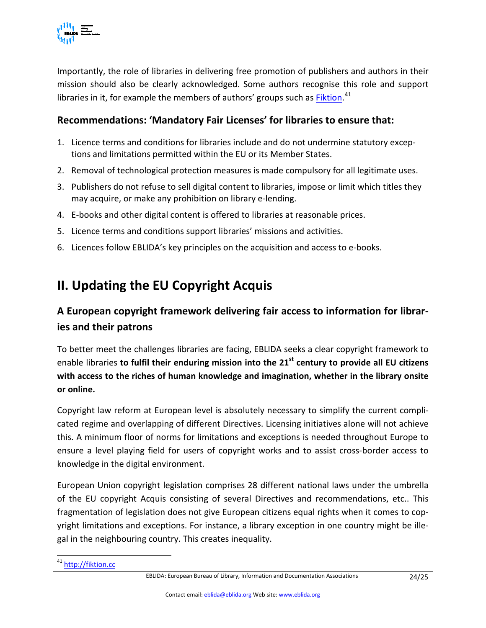

Importantly, the role of libraries in delivering free promotion of publishers and authors in their mission should also be clearly acknowledged. Some authors recognise this role and support libraries in it, for example the members of authors' groups such as **Fiktion.**<sup>[41](#page-23-1)</sup>

#### **Recommendations: 'Mandatory Fair Licenses' for libraries to ensure that:**

- 1. Licence terms and conditions for libraries include and do not undermine statutory exceptions and limitations permitted within the EU or its Member States.
- 2. Removal of technological protection measures is made compulsory for all legitimate uses.
- 3. Publishers do not refuse to sell digital content to libraries, impose or limit which titles they may acquire, or make any prohibition on library e-lending.
- 4. E-books and other digital content is offered to libraries at reasonable prices.
- 5. Licence terms and conditions support libraries' missions and activities.
- 6. Licences follow EBLIDA's key principles on the acquisition and access to e-books.

## <span id="page-23-0"></span>**II. Updating the EU Copyright Acquis**

### **A European copyright framework delivering fair access to information for libraries and their patrons**

To better meet the challenges libraries are facing, EBLIDA seeks a clear copyright framework to enable libraries **to fulfil their enduring mission into the 21st century to provide all EU citizens with access to the riches of human knowledge and imagination, whether in the library onsite or online.**

Copyright law reform at European level is absolutely necessary to simplify the current complicated regime and overlapping of different Directives. Licensing initiatives alone will not achieve this. A minimum floor of norms for limitations and exceptions is needed throughout Europe to ensure a level playing field for users of copyright works and to assist cross-border access to knowledge in the digital environment.

European Union copyright legislation comprises 28 different national laws under the umbrella of the EU copyright Acquis consisting of several Directives and recommendations, etc.. This fragmentation of legislation does not give European citizens equal rights when it comes to copyright limitations and exceptions. For instance, a library exception in one country might be illegal in the neighbouring country. This creates inequality.

<span id="page-23-1"></span><sup>&</sup>lt;sup>41</sup> [http://fiktion.cc](http://fiktion.cc/)